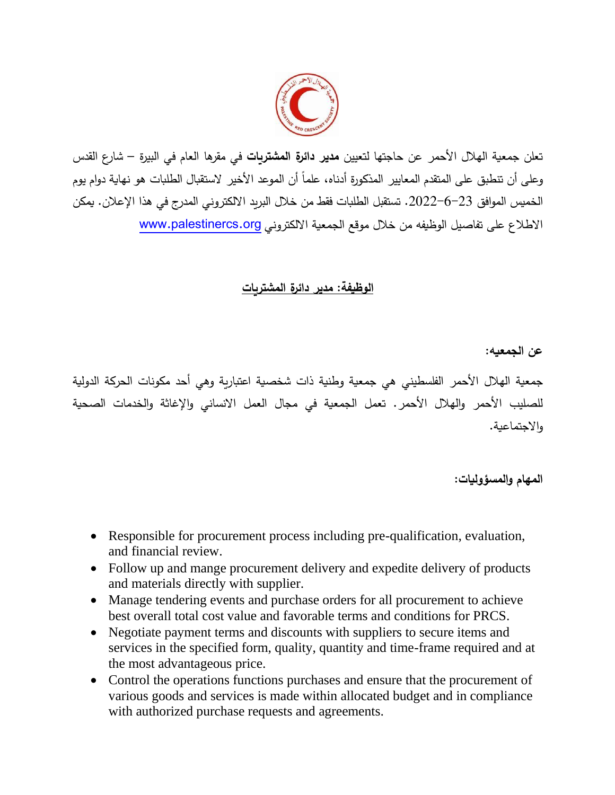

تعلن جمعية الهالل األحمر عن حاجتها لتعيين **مدير دائرة المشتريات** في مقرها العام في البيرة – شارع القدس وعلى أن تنطبق على المتقدم المعايير المذكورة أدناه، علماً أن الموعد الأخير لاستقبال الطلبات هو نهاية دوام يوم الخميس الموافق .2022-6-23 تستقبل الطلبات فقط من خالل البريد االلكتروني المدرج في هذا اإلعالن. يمكن االطالع على تفاصيل الوظيفه من خالل موقع الجمعية االلكتروني [org.palestinercs.www](http://www.palestinercs.org/)

## **الوظيفة: مدير دائرة المشتريات**

**عن الجمعيه:** 

جمعية الهلال الأحمر الفلسطيني هي جمعية وطنية ذات شخصية اعتبارية وهي أحد مكونات الحركة الدولية للصليب األحمر والهالل األحمر. تعمل الجمعية في مجال العمل االنساني واإلغاثة والخدمات الصحية واالجتماعية.

**المهام والمسؤوليات:**

- Responsible for procurement process including pre-qualification, evaluation, and financial review.
- Follow up and mange procurement delivery and expedite delivery of products and materials directly with supplier.
- Manage tendering events and purchase orders for all procurement to achieve best overall total cost value and favorable terms and conditions for PRCS.
- Negotiate payment terms and discounts with suppliers to secure items and services in the specified form, quality, quantity and time-frame required and at the most advantageous price.
- Control the operations functions purchases and ensure that the procurement of various goods and services is made within allocated budget and in compliance with authorized purchase requests and agreements.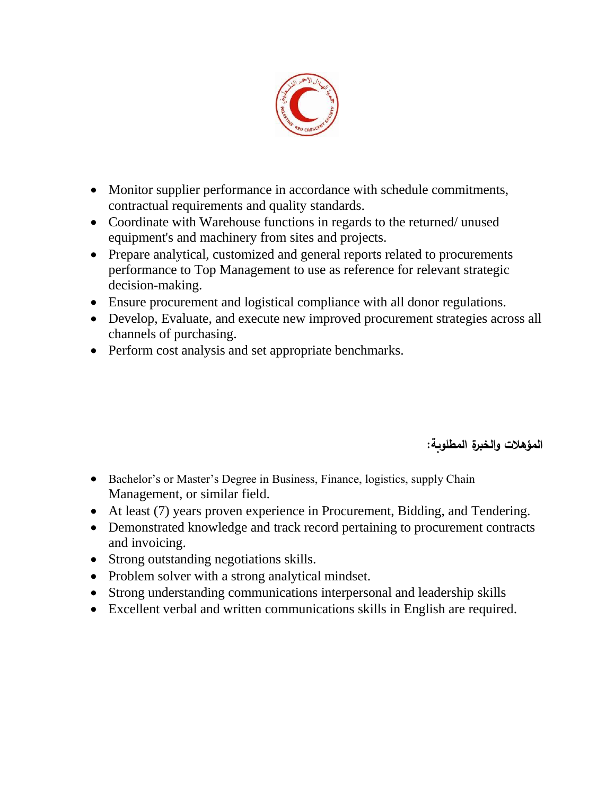

- Monitor supplier performance in accordance with schedule commitments, contractual requirements and quality standards.
- Coordinate with Warehouse functions in regards to the returned/ unused equipment's and machinery from sites and projects.
- Prepare analytical, customized and general reports related to procurements performance to Top Management to use as reference for relevant strategic decision-making.
- Ensure procurement and logistical compliance with all donor regulations.
- Develop, Evaluate, and execute new improved procurement strategies across all channels of purchasing.
- Perform cost analysis and set appropriate benchmarks.

**المؤهالت والخبرة المطلوبة:** 

- Bachelor's or Master's Degree in Business, Finance, logistics, supply Chain Management, or similar field.
- At least (7) years proven experience in Procurement, Bidding, and Tendering.
- Demonstrated knowledge and track record pertaining to procurement contracts and invoicing.
- Strong outstanding negotiations skills.
- Problem solver with a strong analytical mindset.
- Strong understanding communications interpersonal and leadership skills
- Excellent verbal and written communications skills in English are required.